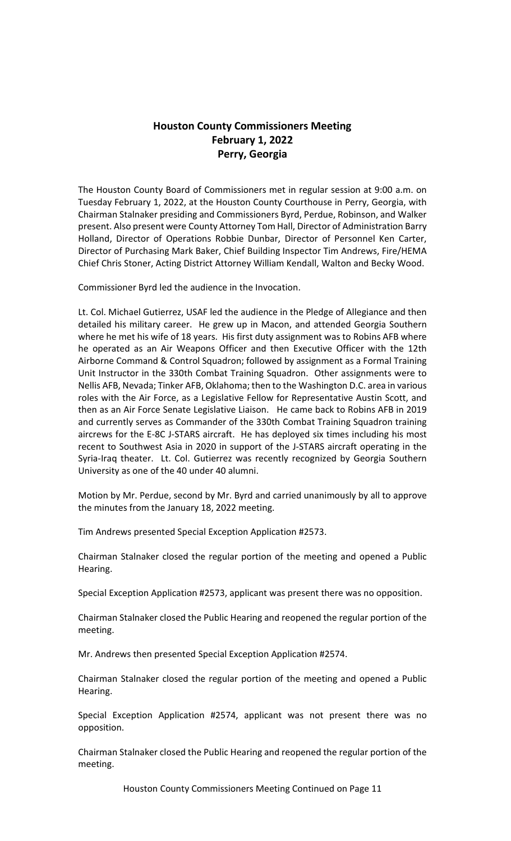# **Houston County Commissioners Meeting February 1, 2022 Perry, Georgia**

The Houston County Board of Commissioners met in regular session at 9:00 a.m. on Tuesday February 1, 2022, at the Houston County Courthouse in Perry, Georgia, with Chairman Stalnaker presiding and Commissioners Byrd, Perdue, Robinson, and Walker present. Also present were County Attorney Tom Hall, Director of Administration Barry Holland, Director of Operations Robbie Dunbar, Director of Personnel Ken Carter, Director of Purchasing Mark Baker, Chief Building Inspector Tim Andrews, Fire/HEMA Chief Chris Stoner, Acting District Attorney William Kendall, Walton and Becky Wood.

Commissioner Byrd led the audience in the Invocation.

Lt. Col. Michael Gutierrez, USAF led the audience in the Pledge of Allegiance and then detailed his military career. He grew up in Macon, and attended Georgia Southern where he met his wife of 18 years. His first duty assignment was to Robins AFB where he operated as an Air Weapons Officer and then Executive Officer with the 12th Airborne Command & Control Squadron; followed by assignment as a Formal Training Unit Instructor in the 330th Combat Training Squadron. Other assignments were to Nellis AFB, Nevada; Tinker AFB, Oklahoma; then to the Washington D.C. area in various roles with the Air Force, as a Legislative Fellow for Representative Austin Scott, and then as an Air Force Senate Legislative Liaison. He came back to Robins AFB in 2019 and currently serves as Commander of the 330th Combat Training Squadron training aircrews for the E-8C J-STARS aircraft. He has deployed six times including his most recent to Southwest Asia in 2020 in support of the J-STARS aircraft operating in the Syria-Iraq theater. Lt. Col. Gutierrez was recently recognized by Georgia Southern University as one of the 40 under 40 alumni.

Motion by Mr. Perdue, second by Mr. Byrd and carried unanimously by all to approve the minutes from the January 18, 2022 meeting.

Tim Andrews presented Special Exception Application #2573.

Chairman Stalnaker closed the regular portion of the meeting and opened a Public Hearing.

Special Exception Application #2573, applicant was present there was no opposition.

Chairman Stalnaker closed the Public Hearing and reopened the regular portion of the meeting.

Mr. Andrews then presented Special Exception Application #2574.

Chairman Stalnaker closed the regular portion of the meeting and opened a Public Hearing.

Special Exception Application #2574, applicant was not present there was no opposition.

Chairman Stalnaker closed the Public Hearing and reopened the regular portion of the meeting.

Houston County Commissioners Meeting Continued on Page 11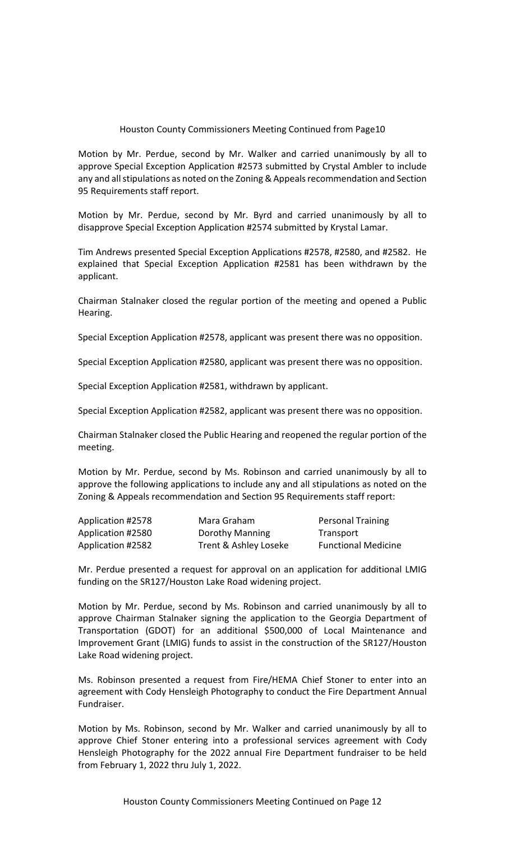Motion by Mr. Perdue, second by Mr. Walker and carried unanimously by all to approve Special Exception Application #2573 submitted by Crystal Ambler to include any and all stipulations as noted on the Zoning & Appeals recommendation and Section 95 Requirements staff report.

Motion by Mr. Perdue, second by Mr. Byrd and carried unanimously by all to disapprove Special Exception Application #2574 submitted by Krystal Lamar.

Tim Andrews presented Special Exception Applications #2578, #2580, and #2582. He explained that Special Exception Application #2581 has been withdrawn by the applicant.

Chairman Stalnaker closed the regular portion of the meeting and opened a Public Hearing.

Special Exception Application #2578, applicant was present there was no opposition.

Special Exception Application #2580, applicant was present there was no opposition.

Special Exception Application #2581, withdrawn by applicant.

Special Exception Application #2582, applicant was present there was no opposition.

Chairman Stalnaker closed the Public Hearing and reopened the regular portion of the meeting.

Motion by Mr. Perdue, second by Ms. Robinson and carried unanimously by all to approve the following applications to include any and all stipulations as noted on the Zoning & Appeals recommendation and Section 95 Requirements staff report:

| Application #2578 | Mara Graham           | <b>Personal Training</b>   |
|-------------------|-----------------------|----------------------------|
| Application #2580 | Dorothy Manning       | Transport                  |
| Application #2582 | Trent & Ashley Loseke | <b>Functional Medicine</b> |

Mr. Perdue presented a request for approval on an application for additional LMIG funding on the SR127/Houston Lake Road widening project.

Motion by Mr. Perdue, second by Ms. Robinson and carried unanimously by all to approve Chairman Stalnaker signing the application to the Georgia Department of Transportation (GDOT) for an additional \$500,000 of Local Maintenance and Improvement Grant (LMIG) funds to assist in the construction of the SR127/Houston Lake Road widening project.

Ms. Robinson presented a request from Fire/HEMA Chief Stoner to enter into an agreement with Cody Hensleigh Photography to conduct the Fire Department Annual Fundraiser.

Motion by Ms. Robinson, second by Mr. Walker and carried unanimously by all to approve Chief Stoner entering into a professional services agreement with Cody Hensleigh Photography for the 2022 annual Fire Department fundraiser to be held from February 1, 2022 thru July 1, 2022.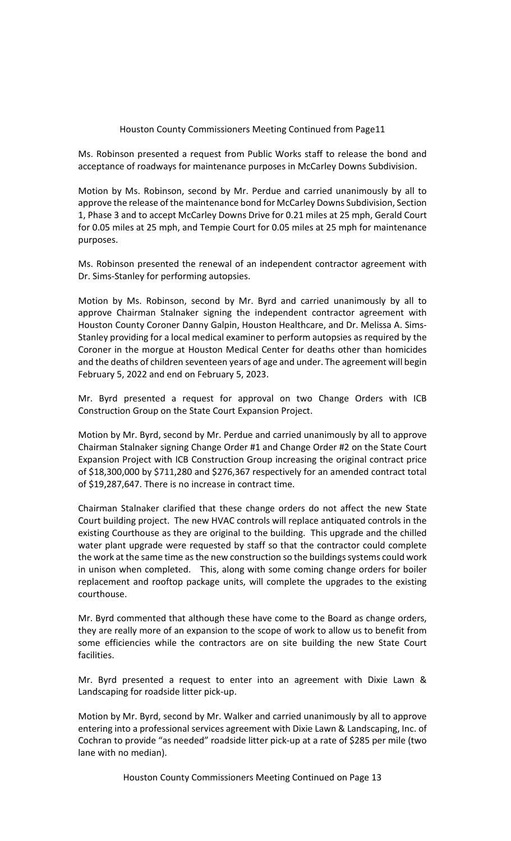Ms. Robinson presented a request from Public Works staff to release the bond and acceptance of roadways for maintenance purposes in McCarley Downs Subdivision.

Motion by Ms. Robinson, second by Mr. Perdue and carried unanimously by all to approve the release of the maintenance bond for McCarley Downs Subdivision, Section 1, Phase 3 and to accept McCarley Downs Drive for 0.21 miles at 25 mph, Gerald Court for 0.05 miles at 25 mph, and Tempie Court for 0.05 miles at 25 mph for maintenance purposes.

Ms. Robinson presented the renewal of an independent contractor agreement with Dr. Sims-Stanley for performing autopsies.

Motion by Ms. Robinson, second by Mr. Byrd and carried unanimously by all to approve Chairman Stalnaker signing the independent contractor agreement with Houston County Coroner Danny Galpin, Houston Healthcare, and Dr. Melissa A. Sims-Stanley providing for a local medical examiner to perform autopsies as required by the Coroner in the morgue at Houston Medical Center for deaths other than homicides and the deaths of children seventeen years of age and under. The agreement will begin February 5, 2022 and end on February 5, 2023.

Mr. Byrd presented a request for approval on two Change Orders with ICB Construction Group on the State Court Expansion Project.

Motion by Mr. Byrd, second by Mr. Perdue and carried unanimously by all to approve Chairman Stalnaker signing Change Order #1 and Change Order #2 on the State Court Expansion Project with ICB Construction Group increasing the original contract price of \$18,300,000 by \$711,280 and \$276,367 respectively for an amended contract total of \$19,287,647. There is no increase in contract time.

Chairman Stalnaker clarified that these change orders do not affect the new State Court building project. The new HVAC controls will replace antiquated controls in the existing Courthouse as they are original to the building. This upgrade and the chilled water plant upgrade were requested by staff so that the contractor could complete the work at the same time as the new construction so the buildings systems could work in unison when completed. This, along with some coming change orders for boiler replacement and rooftop package units, will complete the upgrades to the existing courthouse.

Mr. Byrd commented that although these have come to the Board as change orders, they are really more of an expansion to the scope of work to allow us to benefit from some efficiencies while the contractors are on site building the new State Court facilities.

Mr. Byrd presented a request to enter into an agreement with Dixie Lawn & Landscaping for roadside litter pick-up.

Motion by Mr. Byrd, second by Mr. Walker and carried unanimously by all to approve entering into a professional services agreement with Dixie Lawn & Landscaping, Inc. of Cochran to provide "as needed" roadside litter pick-up at a rate of \$285 per mile (two lane with no median).

Houston County Commissioners Meeting Continued on Page 13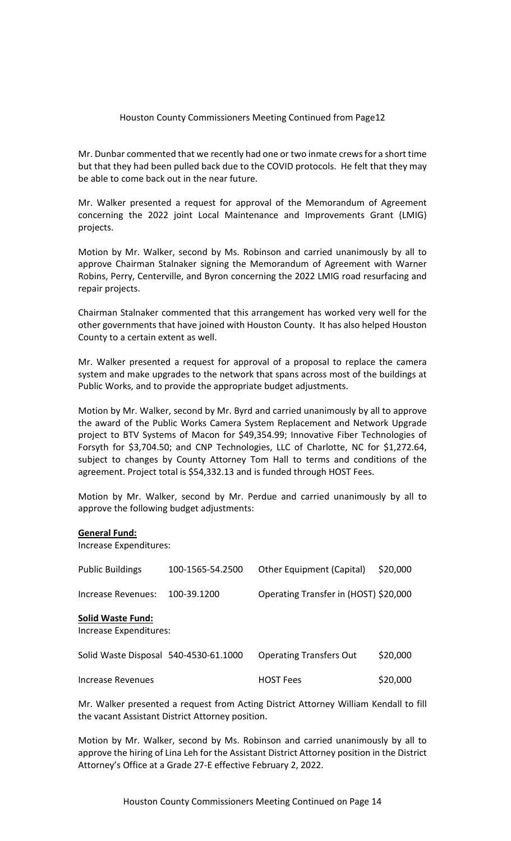Mr. Dunbar commented that we recently had one or two inmate crews for a short time but that they had been pulled back due to the COVID protocols. He felt that they may be able to come back out in the near future.

Mr. Walker presented a request for approval of the Memorandum of Agreement concerning the 2022 joint Local Maintenance and Improvements Grant (LMIG) projects.

Motion by Mr. Walker, second by Ms. Robinson and carried unanimously by all to approve Chairman Stalnaker signing the Memorandum of Agreement with Warner Robins, Perry, Centerville, and Byron concerning the 2022 LMIG road resurfacing and repair projects.

Chairman Stalnaker commented that this arrangement has worked very well for the other governments that have joined with Houston County. It has also helped Houston County to a certain extent as well.

Mr. Walker presented a request for approval of a proposal to replace the camera system and make upgrades to the network that spans across most of the buildings at Public Works, and to provide the appropriate budget adjustments.

Motion by Mr. Walker, second by Mr. Byrd and carried unanimously by all to approve the award of the Public Works Camera System Replacement and Network Upgrade project to BTV Systems of Macon for \$49,354.99; Innovative Fiber Technologies of Forsyth for \$3,704.50; and CNP Technologies, LLC of Charlotte, NC for \$1,272.64, subject to changes by County Attorney Tom Hall to terms and conditions of the agreement. Project total is \$54,332.13 and is funded through HOST Fees.

Motion by Mr. Walker, second by Mr. Perdue and carried unanimously by all to approve the following budget adjustments:

#### **General Fund:**

Increase Expenditures:

| <b>Public Buildings</b>                            | 100-1565-54.2500 | Other Equipment (Capital)             | \$20,000 |  |  |
|----------------------------------------------------|------------------|---------------------------------------|----------|--|--|
| Increase Revenues:                                 | 100-39.1200      | Operating Transfer in (HOST) \$20,000 |          |  |  |
| <b>Solid Waste Fund:</b><br>Increase Expenditures: |                  |                                       |          |  |  |
| Solid Waste Disposal 540-4530-61.1000              |                  | <b>Operating Transfers Out</b>        | \$20,000 |  |  |
| Increase Revenues                                  |                  | <b>HOST Fees</b>                      | \$20,000 |  |  |

Mr. Walker presented a request from Acting District Attorney William Kendall to fill the vacant Assistant District Attorney position.

Motion by Mr. Walker, second by Ms. Robinson and carried unanimously by all to approve the hiring of Lina Leh for the Assistant District Attorney position in the District Attorney's Office at a Grade 27-E effective February 2, 2022.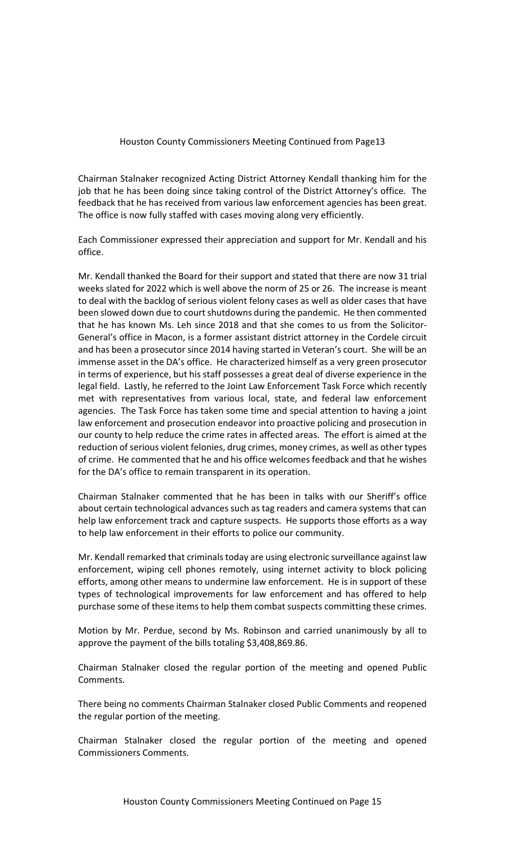Chairman Stalnaker recognized Acting District Attorney Kendall thanking him for the job that he has been doing since taking control of the District Attorney's office. The feedback that he has received from various law enforcement agencies has been great. The office is now fully staffed with cases moving along very efficiently.

Each Commissioner expressed their appreciation and support for Mr. Kendall and his office.

Mr. Kendall thanked the Board for their support and stated that there are now 31 trial weeks slated for 2022 which is well above the norm of 25 or 26. The increase is meant to deal with the backlog of serious violent felony cases as well as older cases that have been slowed down due to court shutdowns during the pandemic. He then commented that he has known Ms. Leh since 2018 and that she comes to us from the Solicitor-General's office in Macon, is a former assistant district attorney in the Cordele circuit and has been a prosecutor since 2014 having started in Veteran's court. She will be an immense asset in the DA's office. He characterized himself as a very green prosecutor in terms of experience, but his staff possesses a great deal of diverse experience in the legal field. Lastly, he referred to the Joint Law Enforcement Task Force which recently met with representatives from various local, state, and federal law enforcement agencies. The Task Force has taken some time and special attention to having a joint law enforcement and prosecution endeavor into proactive policing and prosecution in our county to help reduce the crime rates in affected areas. The effort is aimed at the reduction of serious violent felonies, drug crimes, money crimes, as well as other types of crime. He commented that he and his office welcomes feedback and that he wishes for the DA's office to remain transparent in its operation.

Chairman Stalnaker commented that he has been in talks with our Sheriff's office about certain technological advances such as tag readers and camera systems that can help law enforcement track and capture suspects. He supports those efforts as a way to help law enforcement in their efforts to police our community.

Mr. Kendall remarked that criminals today are using electronic surveillance against law enforcement, wiping cell phones remotely, using internet activity to block policing efforts, among other means to undermine law enforcement. He is in support of these types of technological improvements for law enforcement and has offered to help purchase some of these items to help them combat suspects committing these crimes.

Motion by Mr. Perdue, second by Ms. Robinson and carried unanimously by all to approve the payment of the bills totaling \$3,408,869.86.

Chairman Stalnaker closed the regular portion of the meeting and opened Public Comments.

There being no comments Chairman Stalnaker closed Public Comments and reopened the regular portion of the meeting.

Chairman Stalnaker closed the regular portion of the meeting and opened Commissioners Comments.